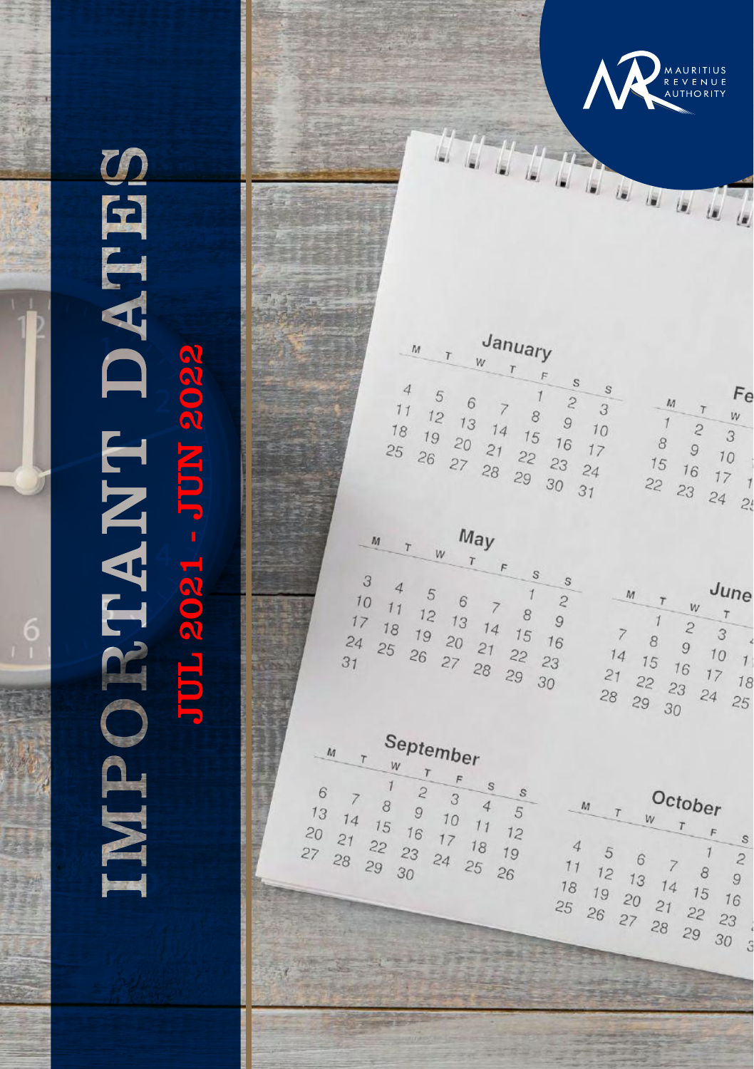

# IMPORTANT DATES **JUL 2021 - JUN 2022**

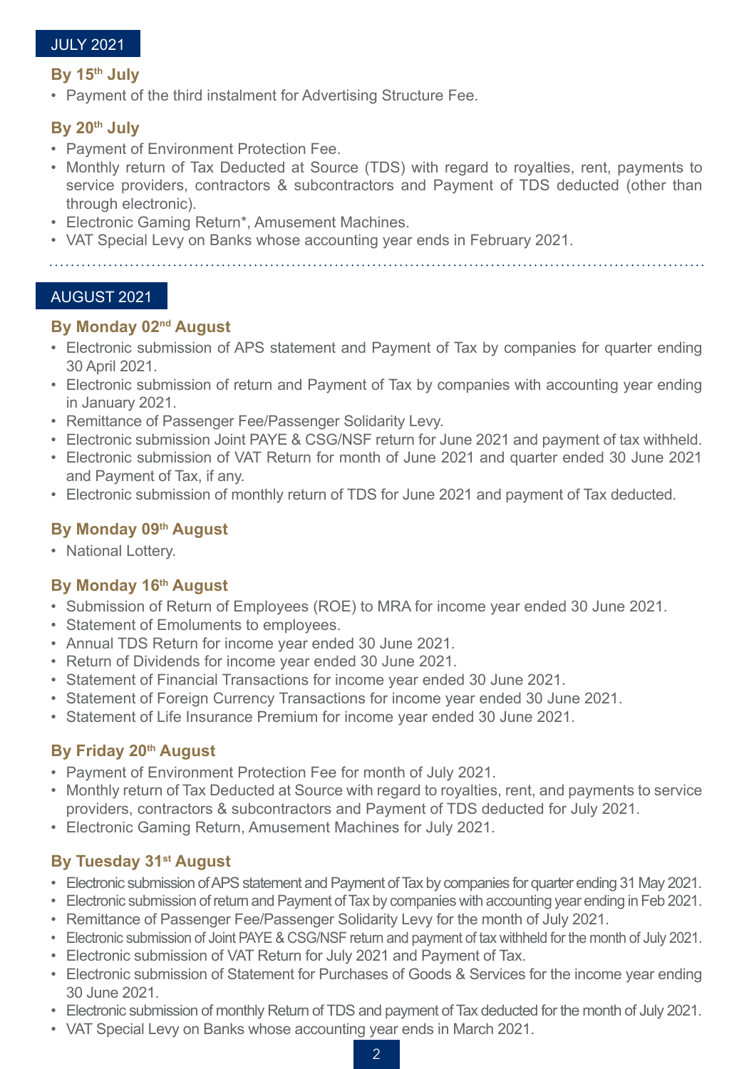#### JULY 2021

#### **By 15th July**

• Payment of the third instalment for Advertising Structure Fee.

## **By 20th July**

- Payment of Environment Protection Fee.
- Monthly return of Tax Deducted at Source (TDS) with regard to royalties, rent, payments to service providers, contractors & subcontractors and Payment of TDS deducted (other than through electronic).
- Electronic Gaming Return\*, Amusement Machines.
- VAT Special Levy on Banks whose accounting year ends in February 2021.

#### AUGUST 2021

## **By Monday 02nd August**

- Electronic submission of APS statement and Payment of Tax by companies for quarter ending 30 April 2021.
- Electronic submission of return and Payment of Tax by companies with accounting year ending in January 2021.
- Remittance of Passenger Fee/Passenger Solidarity Levy.
- Electronic submission Joint PAYE & CSG/NSF return for June 2021 and payment of tax withheld.
- Electronic submission of VAT Return for month of June 2021 and quarter ended 30 June 2021 and Payment of Tax, if any.
- Electronic submission of monthly return of TDS for June 2021 and payment of Tax deducted.

## **By Monday 09th August**

• National Lottery.

## **By Monday 16th August**

- Submission of Return of Employees (ROE) to MRA for income year ended 30 June 2021.
- Statement of Emoluments to employees.
- Annual TDS Return for income year ended 30 June 2021.
- Return of Dividends for income year ended 30 June 2021.
- Statement of Financial Transactions for income year ended 30 June 2021.
- Statement of Foreign Currency Transactions for income year ended 30 June 2021.
- Statement of Life Insurance Premium for income year ended 30 June 2021.

## **By Friday 20th August**

- Payment of Environment Protection Fee for month of July 2021.
- Monthly return of Tax Deducted at Source with regard to royalties, rent, and payments to service providers, contractors & subcontractors and Payment of TDS deducted for July 2021.
- Electronic Gaming Return, Amusement Machines for July 2021.

## **By Tuesday 31st August**

- Electronic submission of APS statement and Payment of Tax by companies for quarter ending 31 May 2021.
- Electronic submission of return and Payment of Tax by companies with accounting year ending in Feb 2021.
- Remittance of Passenger Fee/Passenger Solidarity Levy for the month of July 2021.
- Electronic submission of Joint PAYE & CSG/NSF return and payment of tax withheld for the month of July 2021.
- Electronic submission of VAT Return for July 2021 and Payment of Tax.
- Electronic submission of Statement for Purchases of Goods & Services for the income year ending 30 June 2021.
- Electronic submission of monthly Return of TDS and payment of Tax deducted for the month of July 2021.
- VAT Special Levy on Banks whose accounting year ends in March 2021.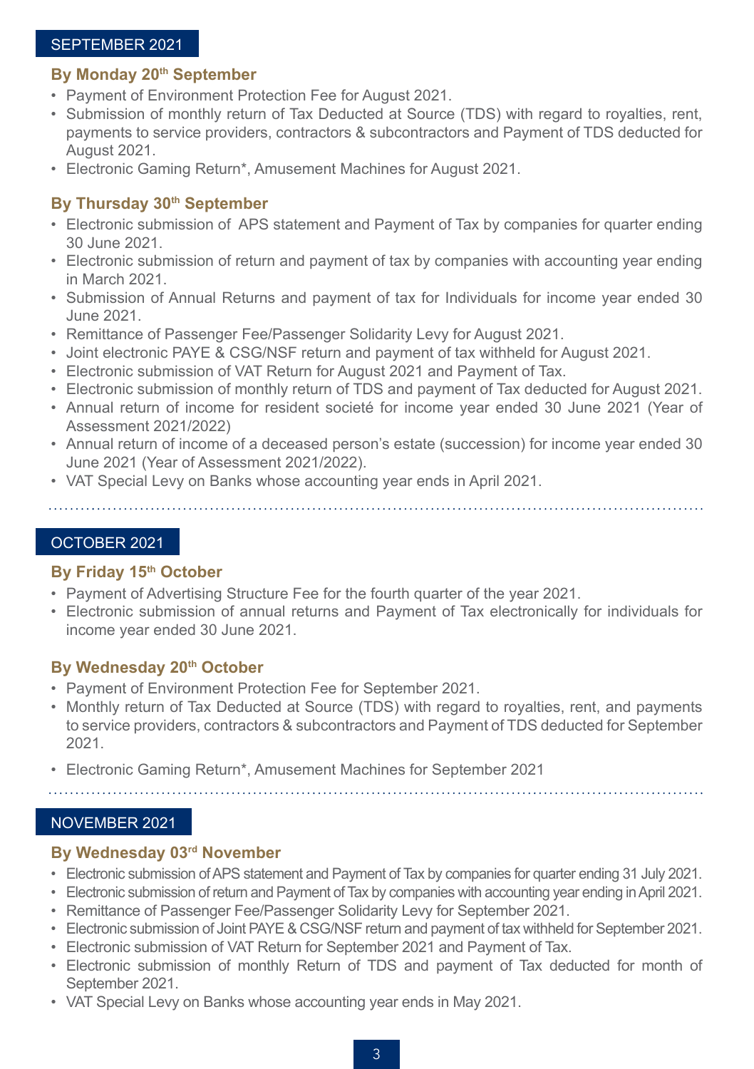#### SEPTEMBER 2021

#### **By Monday 20th September**

- Payment of Environment Protection Fee for August 2021.
- Submission of monthly return of Tax Deducted at Source (TDS) with regard to royalties, rent, payments to service providers, contractors & subcontractors and Payment of TDS deducted for August 2021.
- Electronic Gaming Return\*, Amusement Machines for August 2021.

## **By Thursday 30th September**

- Electronic submission of APS statement and Payment of Tax by companies for quarter ending 30 June 2021.
- Electronic submission of return and payment of tax by companies with accounting year ending in March 2021.
- Submission of Annual Returns and payment of tax for Individuals for income year ended 30 June 2021.
- Remittance of Passenger Fee/Passenger Solidarity Levy for August 2021.
- Joint electronic PAYE & CSG/NSF return and payment of tax withheld for August 2021.
- Electronic submission of VAT Return for August 2021 and Payment of Tax.
- Electronic submission of monthly return of TDS and payment of Tax deducted for August 2021.
- Annual return of income for resident societé for income year ended 30 June 2021 (Year of Assessment 2021/2022)
- Annual return of income of a deceased person's estate (succession) for income year ended 30 June 2021 (Year of Assessment 2021/2022).
- VAT Special Levy on Banks whose accounting year ends in April 2021.

## OCTOBER 2021

#### **By Friday 15th October**

- Payment of Advertising Structure Fee for the fourth quarter of the year 2021.
- Electronic submission of annual returns and Payment of Tax electronically for individuals for income year ended 30 June 2021.

## By Wednesday 20<sup>th</sup> October

- Payment of Environment Protection Fee for September 2021.
- Monthly return of Tax Deducted at Source (TDS) with regard to royalties, rent, and payments to service providers, contractors & subcontractors and Payment of TDS deducted for September 2021.
- Electronic Gaming Return\*, Amusement Machines for September 2021

# NOVEMBER 2021

## **By Wednesday 03rd November**

- Electronic submission of APS statement and Payment of Tax by companies for quarter ending 31 July 2021.
- Electronic submission of return and Payment of Tax by companies with accounting year ending in April 2021.
- Remittance of Passenger Fee/Passenger Solidarity Levy for September 2021.
- Electronic submission of Joint PAYE & CSG/NSF return and payment of tax withheld for September 2021.
- Electronic submission of VAT Return for September 2021 and Payment of Tax.
- Electronic submission of monthly Return of TDS and payment of Tax deducted for month of September 2021.
- VAT Special Levy on Banks whose accounting year ends in May 2021.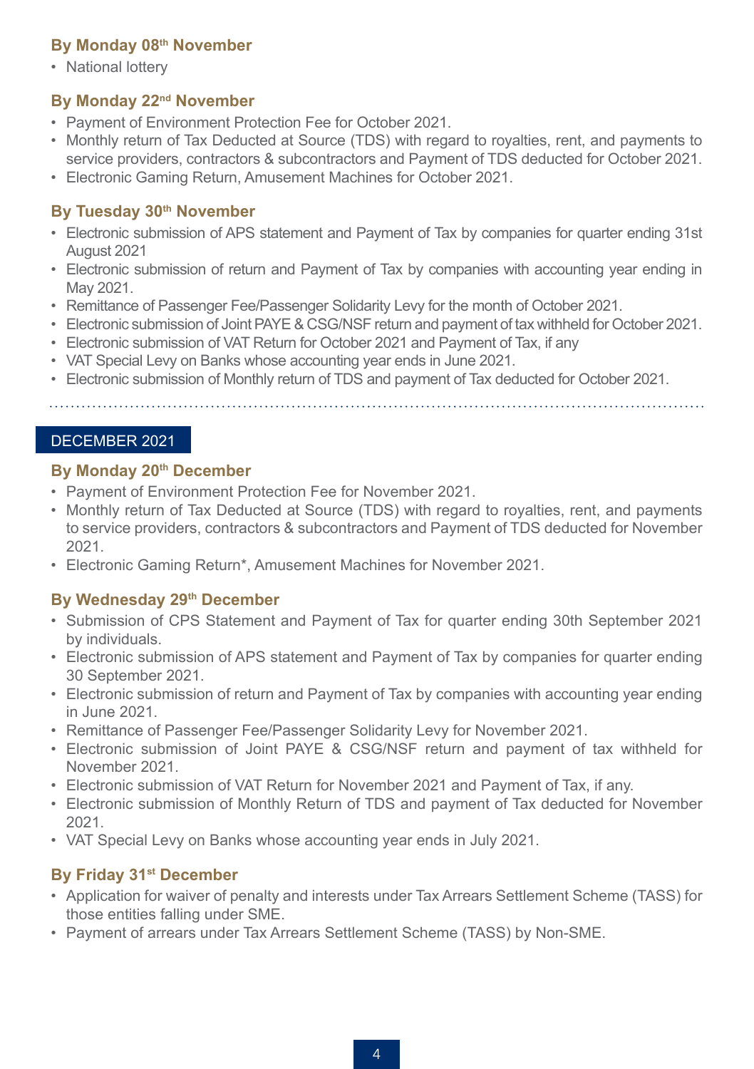## **By Monday 08th November**

• National lottery

# **By Monday 22nd November**

- Payment of Environment Protection Fee for October 2021.
- Monthly return of Tax Deducted at Source (TDS) with regard to royalties, rent, and payments to service providers, contractors & subcontractors and Payment of TDS deducted for October 2021.
- Electronic Gaming Return, Amusement Machines for October 2021.

# **By Tuesday 30th November**

- Electronic submission of APS statement and Payment of Tax by companies for quarter ending 31st August 2021
- Electronic submission of return and Payment of Tax by companies with accounting year ending in May 2021.
- Remittance of Passenger Fee/Passenger Solidarity Levy for the month of October 2021.
- Electronic submission of Joint PAYE & CSG/NSF return and payment of tax withheld for October 2021.
- Electronic submission of VAT Return for October 2021 and Payment of Tax, if any
- VAT Special Levy on Banks whose accounting year ends in June 2021.
- Electronic submission of Monthly return of TDS and payment of Tax deducted for October 2021.

## DECEMBER 2021

## **By Monday 20th December**

- Payment of Environment Protection Fee for November 2021.
- Monthly return of Tax Deducted at Source (TDS) with regard to royalties, rent, and payments to service providers, contractors & subcontractors and Payment of TDS deducted for November 2021.
- Electronic Gaming Return\*, Amusement Machines for November 2021.

# **By Wednesday 29th December**

- Submission of CPS Statement and Payment of Tax for quarter ending 30th September 2021 by individuals.
- Electronic submission of APS statement and Payment of Tax by companies for quarter ending 30 September 2021.
- Electronic submission of return and Payment of Tax by companies with accounting year ending in June 2021.
- Remittance of Passenger Fee/Passenger Solidarity Levy for November 2021.
- Electronic submission of Joint PAYE & CSG/NSF return and payment of tax withheld for November 2021.
- Electronic submission of VAT Return for November 2021 and Payment of Tax, if any.
- Electronic submission of Monthly Return of TDS and payment of Tax deducted for November 2021.
- VAT Special Levy on Banks whose accounting year ends in July 2021.

# **By Friday 31st December**

- Application for waiver of penalty and interests under Tax Arrears Settlement Scheme (TASS) for those entities falling under SME.
- Payment of arrears under Tax Arrears Settlement Scheme (TASS) by Non-SME.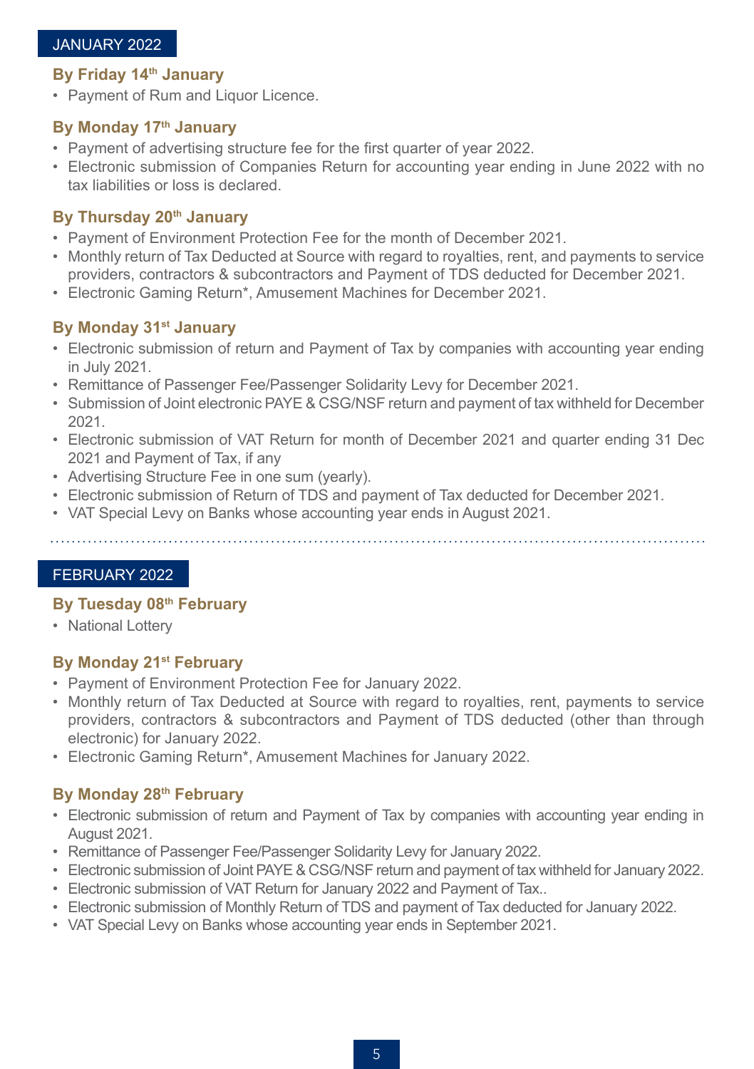## JANUARY 2022

## **By Friday 14th January**

• Payment of Rum and Liquor Licence.

#### **By Monday 17th January**

- Payment of advertising structure fee for the first quarter of year 2022.
- Electronic submission of Companies Return for accounting year ending in June 2022 with no tax liabilities or loss is declared.

## **By Thursday 20th January**

- Payment of Environment Protection Fee for the month of December 2021.
- Monthly return of Tax Deducted at Source with regard to royalties, rent, and payments to service providers, contractors & subcontractors and Payment of TDS deducted for December 2021.
- Electronic Gaming Return\*, Amusement Machines for December 2021.

# **By Monday 31st January**

- Electronic submission of return and Payment of Tax by companies with accounting year ending in July 2021.
- Remittance of Passenger Fee/Passenger Solidarity Levy for December 2021.
- Submission of Joint electronic PAYE & CSG/NSF return and payment of tax withheld for December 2021.
- Electronic submission of VAT Return for month of December 2021 and quarter ending 31 Dec 2021 and Payment of Tax, if any
- Advertising Structure Fee in one sum (yearly).
- Electronic submission of Return of TDS and payment of Tax deducted for December 2021.
- VAT Special Levy on Banks whose accounting year ends in August 2021.

#### FEBRUARY 2022

#### **By Tuesday 08th February**

• National Lottery

## **By Monday 21st February**

- Payment of Environment Protection Fee for January 2022.
- Monthly return of Tax Deducted at Source with regard to royalties, rent, payments to service providers, contractors & subcontractors and Payment of TDS deducted (other than through electronic) for January 2022.
- Electronic Gaming Return\*, Amusement Machines for January 2022.

# **By Monday 28th February**

- Electronic submission of return and Payment of Tax by companies with accounting year ending in August 2021.
- Remittance of Passenger Fee/Passenger Solidarity Levy for January 2022.
- Electronic submission of Joint PAYE & CSG/NSF return and payment of tax withheld for January 2022.
- Electronic submission of VAT Return for January 2022 and Payment of Tax..
- Electronic submission of Monthly Return of TDS and payment of Tax deducted for January 2022.
- VAT Special Levy on Banks whose accounting year ends in September 2021.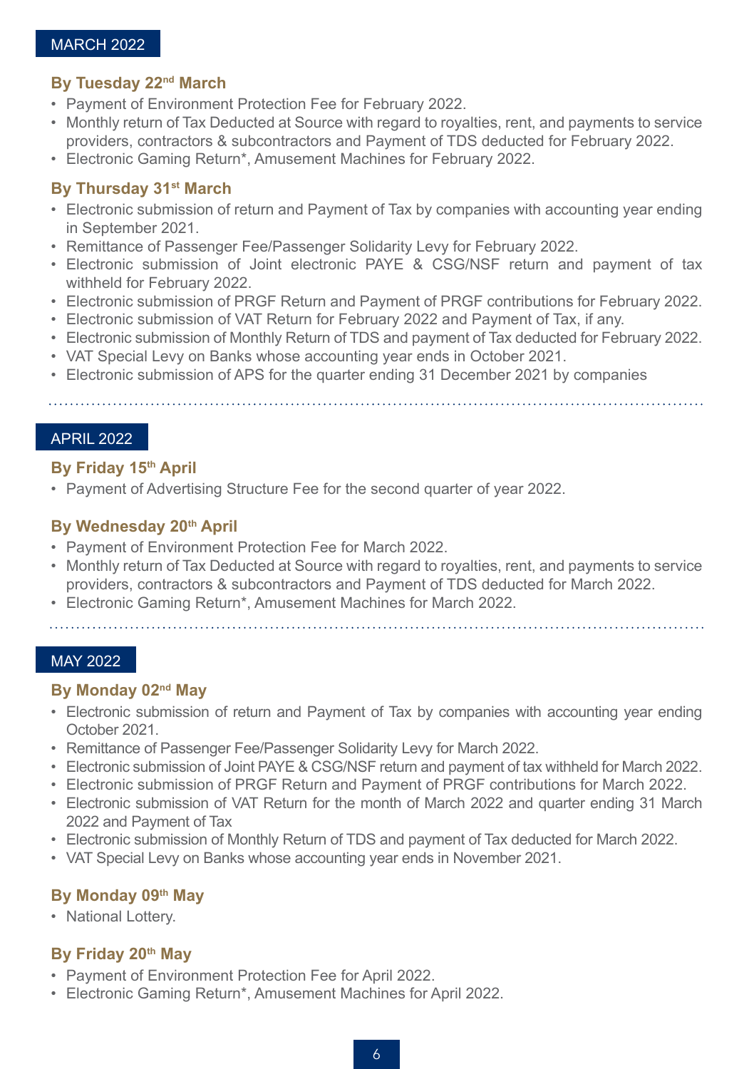## MARCH 2022

#### **By Tuesday 22nd March**

- Payment of Environment Protection Fee for February 2022.
- Monthly return of Tax Deducted at Source with regard to royalties, rent, and payments to service providers, contractors & subcontractors and Payment of TDS deducted for February 2022.
- Electronic Gaming Return\*, Amusement Machines for February 2022.

## **By Thursday 31st March**

- Electronic submission of return and Payment of Tax by companies with accounting year ending in September 2021.
- Remittance of Passenger Fee/Passenger Solidarity Levy for February 2022.
- Electronic submission of Joint electronic PAYE & CSG/NSF return and payment of tax withheld for February 2022.
- Electronic submission of PRGF Return and Payment of PRGF contributions for February 2022.
- Electronic submission of VAT Return for February 2022 and Payment of Tax, if any.
- Electronic submission of Monthly Return of TDS and payment of Tax deducted for February 2022.
- VAT Special Levy on Banks whose accounting year ends in October 2021.
- Electronic submission of APS for the quarter ending 31 December 2021 by companies

#### APRIL 2022

#### **By Friday 15th April**

• Payment of Advertising Structure Fee for the second quarter of year 2022.

## **By Wednesday 20th April**

- Payment of Environment Protection Fee for March 2022.
- Monthly return of Tax Deducted at Source with regard to royalties, rent, and payments to service providers, contractors & subcontractors and Payment of TDS deducted for March 2022.
- Electronic Gaming Return\*, Amusement Machines for March 2022.
- 

#### MAY 2022

#### **By Monday 02nd May**

- Electronic submission of return and Payment of Tax by companies with accounting year ending October 2021.
- Remittance of Passenger Fee/Passenger Solidarity Levy for March 2022.
- Electronic submission of Joint PAYE & CSG/NSF return and payment of tax withheld for March 2022.
- Electronic submission of PRGF Return and Payment of PRGF contributions for March 2022.
- Electronic submission of VAT Return for the month of March 2022 and quarter ending 31 March 2022 and Payment of Tax
- Electronic submission of Monthly Return of TDS and payment of Tax deducted for March 2022.
- VAT Special Levy on Banks whose accounting year ends in November 2021.

## **By Monday 09th May**

• National Lottery.

## **By Friday 20th May**

- Payment of Environment Protection Fee for April 2022.
- Electronic Gaming Return\*, Amusement Machines for April 2022.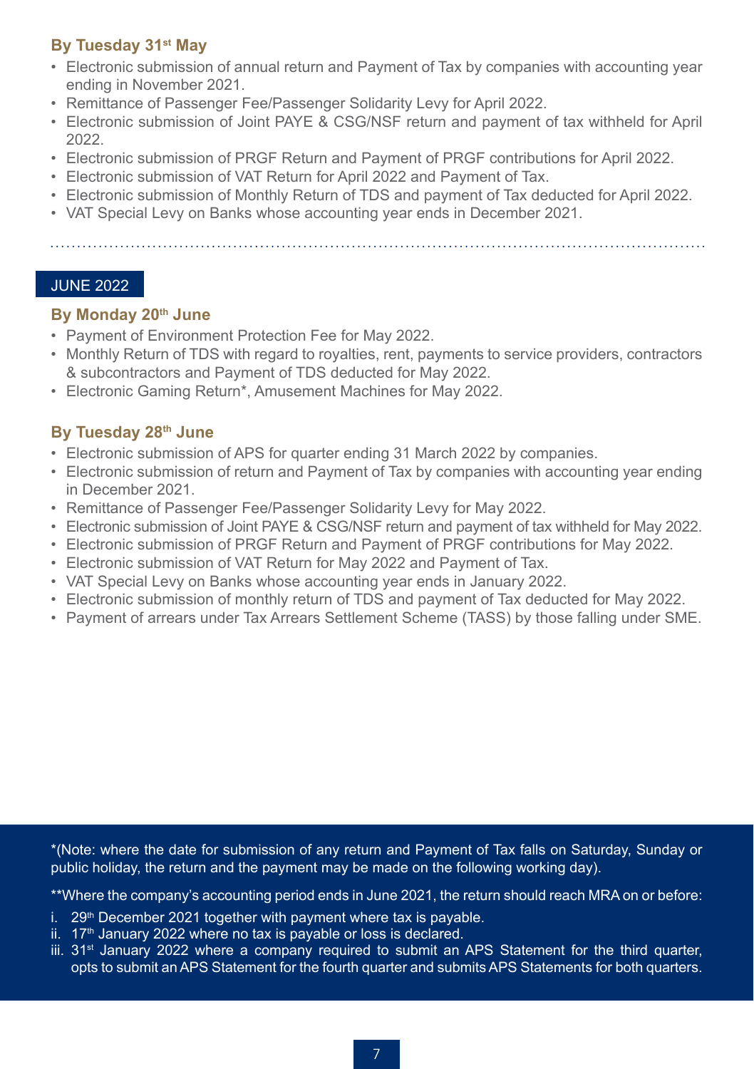# **By Tuesday 31st May**

- Electronic submission of annual return and Payment of Tax by companies with accounting year ending in November 2021.
- Remittance of Passenger Fee/Passenger Solidarity Levy for April 2022.
- Electronic submission of Joint PAYE & CSG/NSF return and payment of tax withheld for April 2022.
- Electronic submission of PRGF Return and Payment of PRGF contributions for April 2022.
- Electronic submission of VAT Return for April 2022 and Payment of Tax.
- Electronic submission of Monthly Return of TDS and payment of Tax deducted for April 2022.
- VAT Special Levy on Banks whose accounting year ends in December 2021.

## JUNE 2022

## **By Monday 20th June**

- Payment of Environment Protection Fee for May 2022.
- Monthly Return of TDS with regard to royalties, rent, payments to service providers, contractors & subcontractors and Payment of TDS deducted for May 2022.
- Electronic Gaming Return\*, Amusement Machines for May 2022.

# **By Tuesday 28th June**

- Electronic submission of APS for quarter ending 31 March 2022 by companies.
- Electronic submission of return and Payment of Tax by companies with accounting year ending in December 2021.
- Remittance of Passenger Fee/Passenger Solidarity Levy for May 2022.
- Electronic submission of Joint PAYE & CSG/NSF return and payment of tax withheld for May 2022.
- Electronic submission of PRGF Return and Payment of PRGF contributions for May 2022.
- Electronic submission of VAT Return for May 2022 and Payment of Tax.
- VAT Special Levy on Banks whose accounting year ends in January 2022.
- Electronic submission of monthly return of TDS and payment of Tax deducted for May 2022.
- Payment of arrears under Tax Arrears Settlement Scheme (TASS) by those falling under SME.

\*(Note: where the date for submission of any return and Payment of Tax falls on Saturday, Sunday or public holiday, the return and the payment may be made on the following working day).

\*\*Where the company's accounting period ends in June 2021, the return should reach MRA on or before:

- i.  $29<sup>th</sup>$  December 2021 together with payment where tax is payable.
- $ii.$  17<sup>th</sup> January 2022 where no tax is payable or loss is declared.
- $\frac{1}{10}$  31<sup>st</sup> January 2022 where a company required to submit an APS Statement for the third quarter, opts to submit an APS Statement for the fourth quarter and submits APS Statements for both quarters.